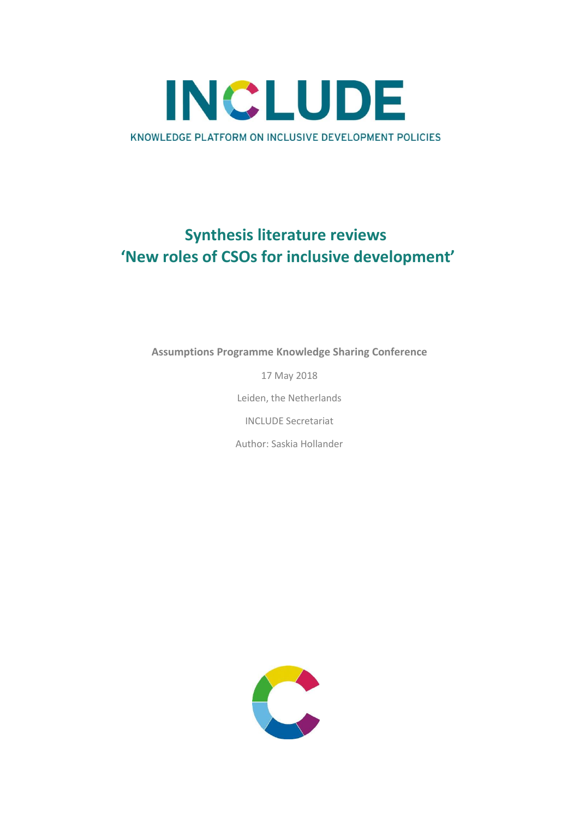

## **Synthesis literature reviews 'New roles of CSOs for inclusive development'**

**Assumptions Programme Knowledge Sharing Conference**

17 May 2018 Leiden, the Netherlands INCLUDE Secretariat Author: Saskia Hollander

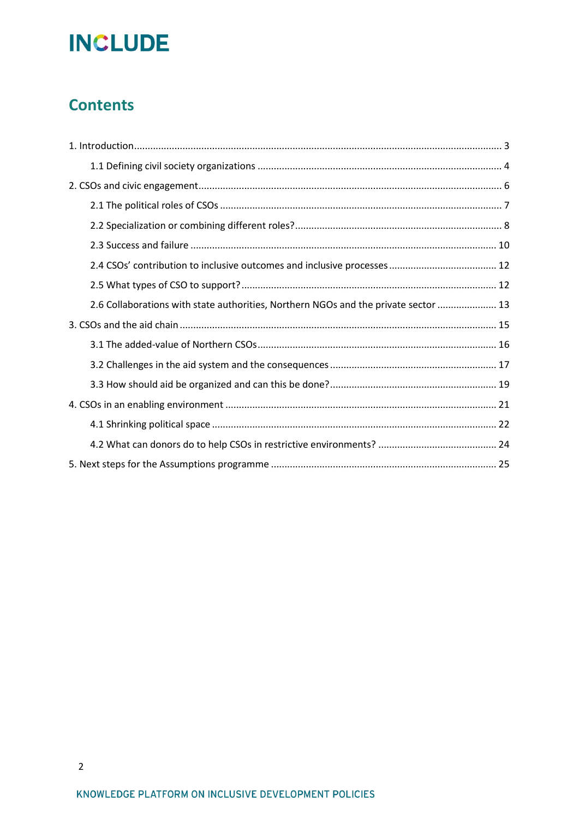## **Contents**

| 2.6 Collaborations with state authorities, Northern NGOs and the private sector  13 |
|-------------------------------------------------------------------------------------|
|                                                                                     |
|                                                                                     |
|                                                                                     |
|                                                                                     |
|                                                                                     |
|                                                                                     |
|                                                                                     |
|                                                                                     |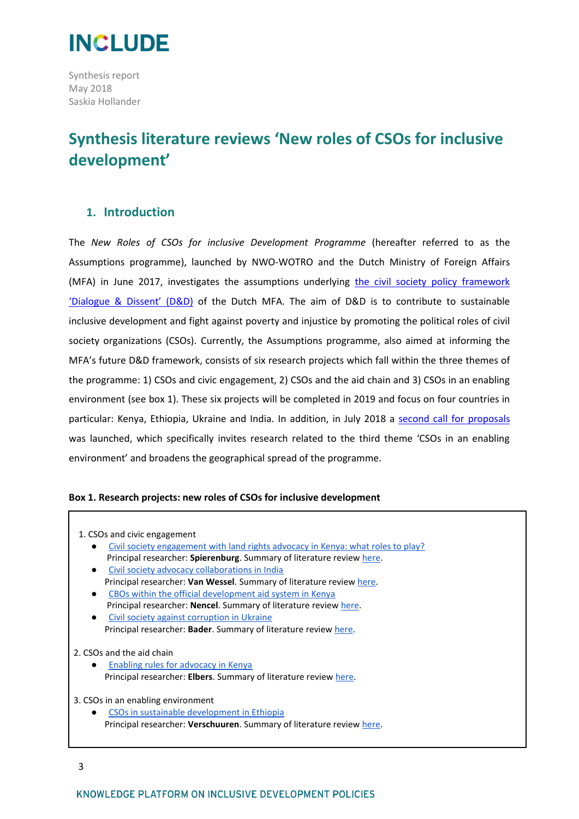

Synthesis report May 2018 Saskia Hollander

## **Synthesis literature reviews 'New roles of CSOs for inclusive development'**

## <span id="page-2-0"></span>**1. Introduction**

The *New Roles of CSOs for inclusive Development Programme* (hereafter referred to as the Assumptions programme), launched by NWO-WOTRO and the Dutch Ministry of Foreign Affairs (MFA) in June 2017, investigates the assumptions underlying [the civil society policy framework](https://www.government.nl/documents/regulations/2014/05/13/policy-framework-dialogue-and-dissent)  ['Dialogue & Dissent'](https://www.government.nl/documents/regulations/2014/05/13/policy-framework-dialogue-and-dissent) (D&D) of the Dutch MFA. The aim of D&D is to contribute to sustainable inclusive development and fight against poverty and injustice by promoting the political roles of civil society organizations (CSOs). Currently, the Assumptions programme, also aimed at informing the MFA's future D&D framework, consists of six research projects which fall within the three themes of the programme: 1) CSOs and civic engagement, 2) CSOs and the aid chain and 3) CSOs in an enabling environment (see box 1). These six projects will be completed in 2019 and focus on four countries in particular: Kenya, Ethiopia, Ukraine and India. In addition, in July 2018 a [second call for proposals](https://www.nwo.nl/en/documents/wotro/assumptions---call-for-proposals) was launched, which specifically invites research related to the third theme 'CSOs in an enabling environment' and broadens the geographical spread of the programme.

### **Box 1. Research projects: new roles of CSOs for inclusive development**

| 1. CSOs and civic engagement                                                     |
|----------------------------------------------------------------------------------|
| Civil society engagement with land rights advocacy in Kenya: what roles to play? |
| Principal researcher: <b>Spierenburg</b> . Summary of literature review here.    |
| Civil society advocacy collaborations in India<br>$\bullet$                      |
| Principal researcher: Van Wessel. Summary of literature review here.             |
| CBOs within the official development aid system in Kenya<br>$\bullet$            |
| Principal researcher: <b>Nencel</b> . Summary of literature review here.         |
| Civil society against corruption in Ukraine<br>$\bullet$                         |
| Principal researcher: Bader. Summary of literature review here.                  |
|                                                                                  |
| 2. CSOs and the aid chain                                                        |
| <b>Enabling rules for advocacy in Kenya</b><br>$\bullet$                         |
| Principal researcher: Elbers. Summary of literature review here.                 |
|                                                                                  |
| 3. CSOs in an enabling environment                                               |
| CSOs in sustainable development in Ethiopia                                      |
| Principal researcher: <b>Verschuuren</b> . Summary of literature review here.    |
|                                                                                  |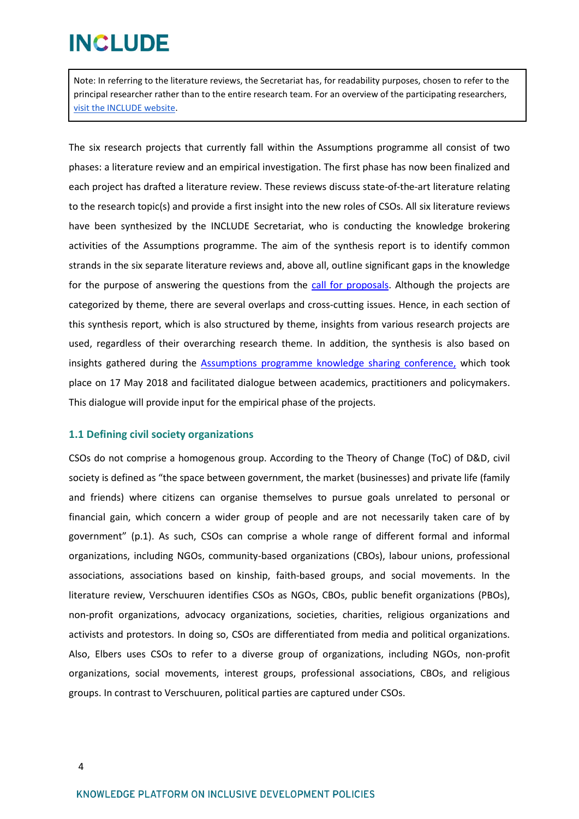Note: In referring to the literature reviews, the Secretariat has, for readability purposes, chosen to refer to the principal researcher rather than to the entire research team. For an overview of the participating researchers, [visit the INCLUDE website.](http://includeplatform.net/new-roles-csos-inclusive-development/)

The six research projects that currently fall within the Assumptions programme all consist of two phases: a literature review and an empirical investigation. The first phase has now been finalized and each project has drafted a literature review. These reviews discuss state-of-the-art literature relating to the research topic(s) and provide a first insight into the new roles of CSOs. All six literature reviews have been synthesized by the INCLUDE Secretariat, who is conducting the knowledge brokering activities of the Assumptions programme. The aim of the synthesis report is to identify common strands in the six separate literature reviews and, above all, outline significant gaps in the knowledge for the purpose of answering the questions from the [call for proposals.](file:///C:/Users/Saskia%20Hollander/Downloads/Assumptions+2nd+Call+for+Proposals_17-7%20(1).pdf) Although the projects are categorized by theme, there are several overlaps and cross-cutting issues. Hence, in each section of this synthesis report, which is also structured by theme, insights from various research projects are used, regardless of their overarching research theme. In addition, the synthesis is also based on insights gathered during the [Assumptions programme knowledge sharing conference,](http://www.includeplatform.net/report-new-roles-csos-inclusive-development-knowledge-sharing-conference-results-literature-review/) which took place on 17 May 2018 and facilitated dialogue between academics, practitioners and policymakers. This dialogue will provide input for the empirical phase of the projects.

### <span id="page-3-0"></span>**1.1 Defining civil society organizations**

CSOs do not comprise a homogenous group. According to the Theory of Change (ToC) of D&D, civil society is defined as "the space between government, the market (businesses) and private life (family and friends) where citizens can organise themselves to pursue goals unrelated to personal or financial gain, which concern a wider group of people and are not necessarily taken care of by government" (p.1). As such, CSOs can comprise a whole range of different formal and informal organizations, including NGOs, community-based organizations (CBOs), labour unions, professional associations, associations based on kinship, faith-based groups, and social movements. In the literature review, Verschuuren identifies CSOs as NGOs, CBOs, public benefit organizations (PBOs), non-profit organizations, advocacy organizations, societies, charities, religious organizations and activists and protestors. In doing so, CSOs are differentiated from media and political organizations. Also, Elbers uses CSOs to refer to a diverse group of organizations, including NGOs, non-profit organizations, social movements, interest groups, professional associations, CBOs, and religious groups. In contrast to Verschuuren, political parties are captured under CSOs.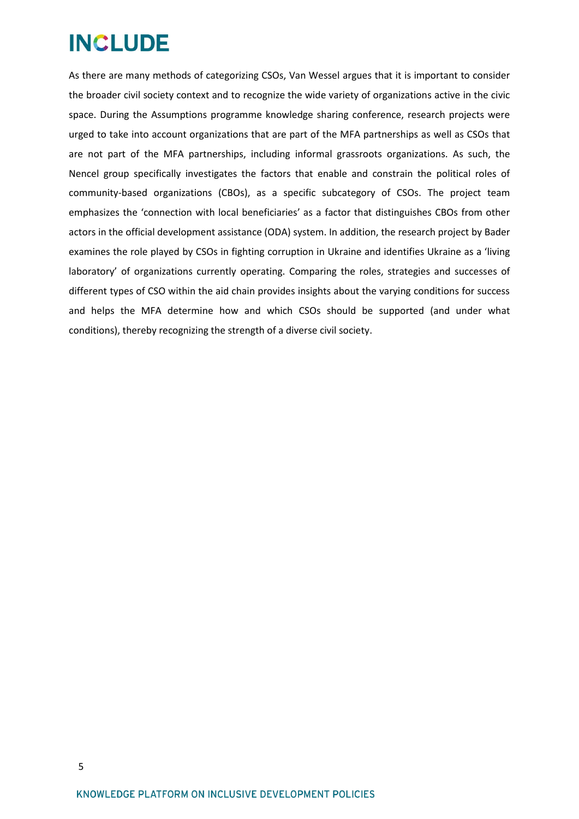As there are many methods of categorizing CSOs, Van Wessel argues that it is important to consider the broader civil society context and to recognize the wide variety of organizations active in the civic space. During the Assumptions programme knowledge sharing conference, research projects were urged to take into account organizations that are part of the MFA partnerships as well as CSOs that are not part of the MFA partnerships, including informal grassroots organizations. As such, the Nencel group specifically investigates the factors that enable and constrain the political roles of community-based organizations (CBOs), as a specific subcategory of CSOs. The project team emphasizes the 'connection with local beneficiaries' as a factor that distinguishes CBOs from other actors in the official development assistance (ODA) system. In addition, the research project by Bader examines the role played by CSOs in fighting corruption in Ukraine and identifies Ukraine as a 'living laboratory' of organizations currently operating. Comparing the roles, strategies and successes of different types of CSO within the aid chain provides insights about the varying conditions for success and helps the MFA determine how and which CSOs should be supported (and under what conditions), thereby recognizing the strength of a diverse civil society.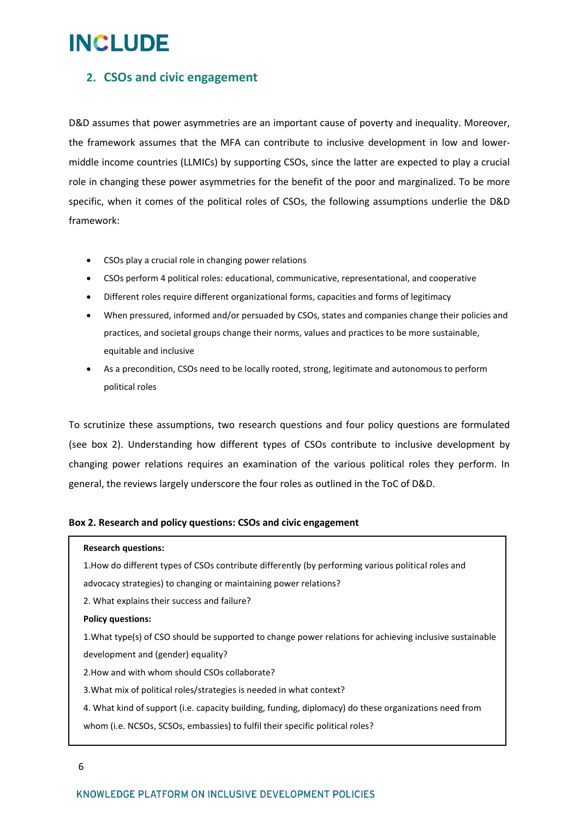## <span id="page-5-0"></span>**2. CSOs and civic engagement**

D&D assumes that power asymmetries are an important cause of poverty and inequality. Moreover, the framework assumes that the MFA can contribute to inclusive development in low and lowermiddle income countries (LLMICs) by supporting CSOs, since the latter are expected to play a crucial role in changing these power asymmetries for the benefit of the poor and marginalized. To be more specific, when it comes of the political roles of CSOs, the following assumptions underlie the D&D framework:

- CSOs play a crucial role in changing power relations
- CSOs perform 4 political roles: educational, communicative, representational, and cooperative
- Different roles require different organizational forms, capacities and forms of legitimacy
- When pressured, informed and/or persuaded by CSOs, states and companies change their policies and practices, and societal groups change their norms, values and practices to be more sustainable, equitable and inclusive
- As a precondition, CSOs need to be locally rooted, strong, legitimate and autonomous to perform political roles

To scrutinize these assumptions, two research questions and four policy questions are formulated (see box 2). Understanding how different types of CSOs contribute to inclusive development by changing power relations requires an examination of the various political roles they perform. In general, the reviews largely underscore the four roles as outlined in the ToC of D&D.

### **Box 2. Research and policy questions: CSOs and civic engagement**

### **Research questions:**

1.How do different types of CSOs contribute differently (by performing various political roles and advocacy strategies) to changing or maintaining power relations?

2. What explains their success and failure?

### **Policy questions:**

1.What type(s) of CSO should be supported to change power relations for achieving inclusive sustainable development and (gender) equality?

2.How and with whom should CSOs collaborate?

3.What mix of political roles/strategies is needed in what context?

4. What kind of support (i.e. capacity building, funding, diplomacy) do these organizations need from whom (i.e. NCSOs, SCSOs, embassies) to fulfil their specific political roles?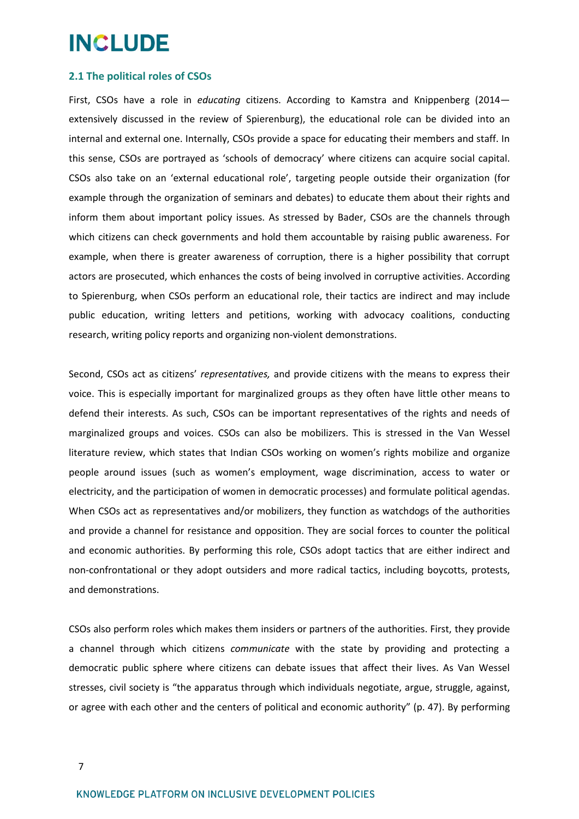### <span id="page-6-0"></span>**2.1 The political roles of CSOs**

First, CSOs have a role in *educating* citizens. According to Kamstra and Knippenberg (2014 extensively discussed in the review of Spierenburg), the educational role can be divided into an internal and external one. Internally, CSOs provide a space for educating their members and staff. In this sense, CSOs are portrayed as 'schools of democracy' where citizens can acquire social capital. CSOs also take on an 'external educational role', targeting people outside their organization (for example through the organization of seminars and debates) to educate them about their rights and inform them about important policy issues. As stressed by Bader, CSOs are the channels through which citizens can check governments and hold them accountable by raising public awareness. For example, when there is greater awareness of corruption, there is a higher possibility that corrupt actors are prosecuted, which enhances the costs of being involved in corruptive activities. According to Spierenburg, when CSOs perform an educational role, their tactics are indirect and may include public education, writing letters and petitions, working with advocacy coalitions, conducting research, writing policy reports and organizing non-violent demonstrations.

Second, CSOs act as citizens' *representatives,* and provide citizens with the means to express their voice. This is especially important for marginalized groups as they often have little other means to defend their interests. As such, CSOs can be important representatives of the rights and needs of marginalized groups and voices. CSOs can also be mobilizers. This is stressed in the Van Wessel literature review, which states that Indian CSOs working on women's rights mobilize and organize people around issues (such as women's employment, wage discrimination, access to water or electricity, and the participation of women in democratic processes) and formulate political agendas. When CSOs act as representatives and/or mobilizers, they function as watchdogs of the authorities and provide a channel for resistance and opposition. They are social forces to counter the political and economic authorities. By performing this role, CSOs adopt tactics that are either indirect and non-confrontational or they adopt outsiders and more radical tactics, including boycotts, protests, and demonstrations.

CSOs also perform roles which makes them insiders or partners of the authorities. First, they provide a channel through which citizens *communicate* with the state by providing and protecting a democratic public sphere where citizens can debate issues that affect their lives. As Van Wessel stresses, civil society is "the apparatus through which individuals negotiate, argue, struggle, against, or agree with each other and the centers of political and economic authority" (p. 47). By performing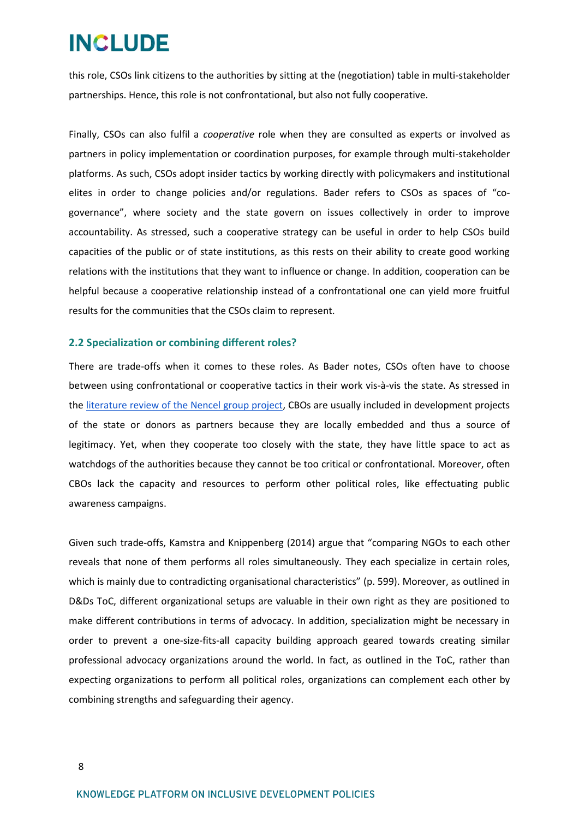this role, CSOs link citizens to the authorities by sitting at the (negotiation) table in multi-stakeholder partnerships. Hence, this role is not confrontational, but also not fully cooperative.

Finally, CSOs can also fulfil a *cooperative* role when they are consulted as experts or involved as partners in policy implementation or coordination purposes, for example through multi-stakeholder platforms. As such, CSOs adopt insider tactics by working directly with policymakers and institutional elites in order to change policies and/or regulations. Bader refers to CSOs as spaces of "cogovernance", where society and the state govern on issues collectively in order to improve accountability. As stressed, such a cooperative strategy can be useful in order to help CSOs build capacities of the public or of state institutions, as this rests on their ability to create good working relations with the institutions that they want to influence or change. In addition, cooperation can be helpful because a cooperative relationship instead of a confrontational one can yield more fruitful results for the communities that the CSOs claim to represent.

### <span id="page-7-0"></span>**2.2 Specialization or combining different roles?**

There are trade-offs when it comes to these roles. As Bader notes, CSOs often have to choose between using confrontational or cooperative tactics in their work vis-à-vis the state. As stressed in the [literature review of the Nencel group project,](http://includeplatform.net/downloads/summary-literature-review-cbos-within-official-development-aid-system-kenya/) CBOs are usually included in development projects of the state or donors as partners because they are locally embedded and thus a source of legitimacy. Yet, when they cooperate too closely with the state, they have little space to act as watchdogs of the authorities because they cannot be too critical or confrontational. Moreover, often CBOs lack the capacity and resources to perform other political roles, like effectuating public awareness campaigns.

Given such trade-offs, Kamstra and Knippenberg (2014) argue that "comparing NGOs to each other reveals that none of them performs all roles simultaneously. They each specialize in certain roles, which is mainly due to contradicting organisational characteristics" (p. 599). Moreover, as outlined in D&Ds ToC, different organizational setups are valuable in their own right as they are positioned to make different contributions in terms of advocacy. In addition, specialization might be necessary in order to prevent a one-size-fits-all capacity building approach geared towards creating similar professional advocacy organizations around the world. In fact, as outlined in the ToC, rather than expecting organizations to perform all political roles, organizations can complement each other by combining strengths and safeguarding their agency.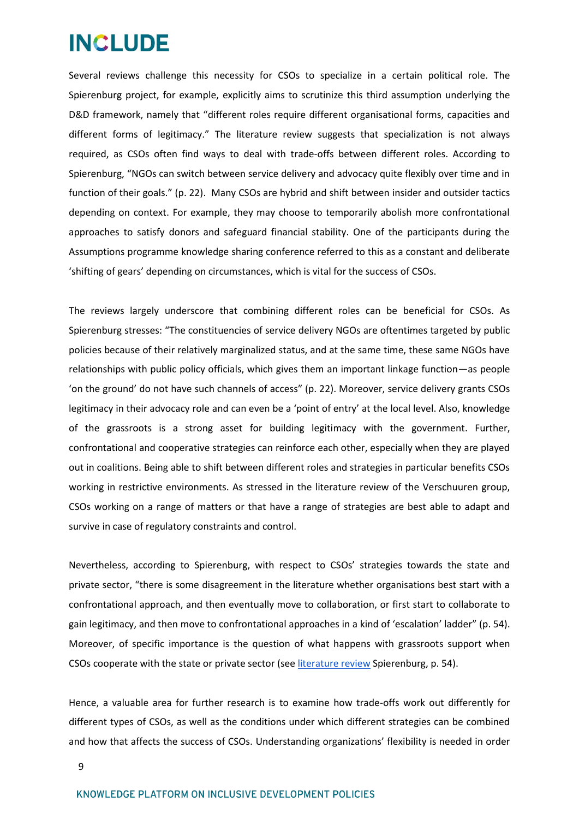Several reviews challenge this necessity for CSOs to specialize in a certain political role. The Spierenburg project, for example, explicitly aims to scrutinize this third assumption underlying the D&D framework, namely that "different roles require different organisational forms, capacities and different forms of legitimacy." The literature review suggests that specialization is not always required, as CSOs often find ways to deal with trade-offs between different roles. According to Spierenburg, "NGOs can switch between service delivery and advocacy quite flexibly over time and in function of their goals." (p. 22). Many CSOs are hybrid and shift between insider and outsider tactics depending on context. For example, they may choose to temporarily abolish more confrontational approaches to satisfy donors and safeguard financial stability. One of the participants during the Assumptions programme knowledge sharing conference referred to this as a constant and deliberate 'shifting of gears' depending on circumstances, which is vital for the success of CSOs.

The reviews largely underscore that combining different roles can be beneficial for CSOs. As Spierenburg stresses: "The constituencies of service delivery NGOs are oftentimes targeted by public policies because of their relatively marginalized status, and at the same time, these same NGOs have relationships with public policy officials, which gives them an important linkage function—as people 'on the ground' do not have such channels of access" (p. 22). Moreover, service delivery grants CSOs legitimacy in their advocacy role and can even be a 'point of entry' at the local level. Also, knowledge of the grassroots is a strong asset for building legitimacy with the government. Further, confrontational and cooperative strategies can reinforce each other, especially when they are played out in coalitions. Being able to shift between different roles and strategies in particular benefits CSOs working in restrictive environments. As stressed in the literature review of the Verschuuren group, CSOs working on a range of matters or that have a range of strategies are best able to adapt and survive in case of regulatory constraints and control.

Nevertheless, according to Spierenburg, with respect to CSOs' strategies towards the state and private sector, "there is some disagreement in the literature whether organisations best start with a confrontational approach, and then eventually move to collaboration, or first start to collaborate to gain legitimacy, and then move to confrontational approaches in a kind of 'escalation' ladder" (p. 54). Moreover, of specific importance is the question of what happens with grassroots support when CSOs cooperate with the state or private sector (see [literature review](http://includeplatform.net/downloads/summary-literature-review-civil-society-engagement-land-rights-advocacy-kenya/) Spierenburg, p. 54).

Hence, a valuable area for further research is to examine how trade-offs work out differently for different types of CSOs, as well as the conditions under which different strategies can be combined and how that affects the success of CSOs. Understanding organizations' flexibility is needed in order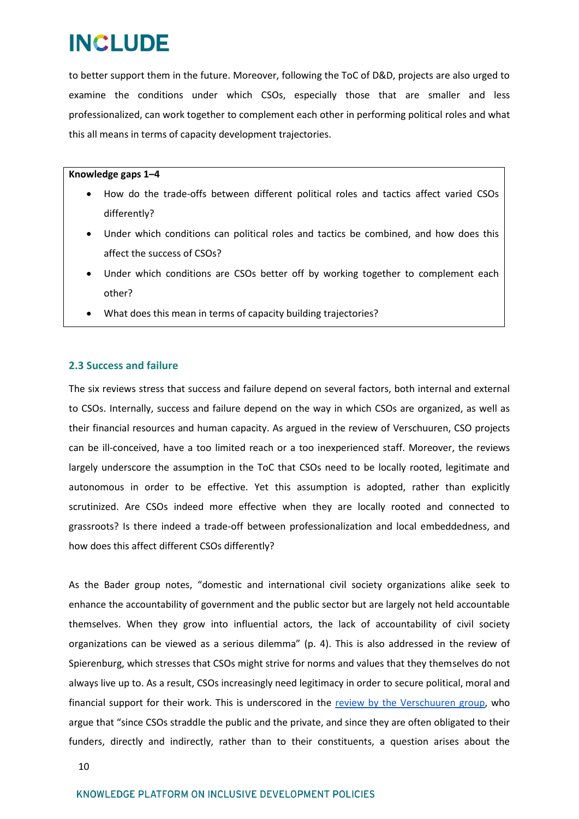to better support them in the future. Moreover, following the ToC of D&D, projects are also urged to examine the conditions under which CSOs, especially those that are smaller and less professionalized, can work together to complement each other in performing political roles and what this all means in terms of capacity development trajectories.

### **Knowledge gaps 1–4**

- How do the trade-offs between different political roles and tactics affect varied CSOs differently?
- Under which conditions can political roles and tactics be combined, and how does this affect the success of CSOs?
- Under which conditions are CSOs better off by working together to complement each other?
- What does this mean in terms of capacity building trajectories?

### <span id="page-9-0"></span>**2.3 Success and failure**

The six reviews stress that success and failure depend on several factors, both internal and external to CSOs. Internally, success and failure depend on the way in which CSOs are organized, as well as their financial resources and human capacity. As argued in the review of Verschuuren, CSO projects can be ill-conceived, have a too limited reach or a too inexperienced staff. Moreover, the reviews largely underscore the assumption in the ToC that CSOs need to be locally rooted, legitimate and autonomous in order to be effective. Yet this assumption is adopted, rather than explicitly scrutinized. Are CSOs indeed more effective when they are locally rooted and connected to grassroots? Is there indeed a trade-off between professionalization and local embeddedness, and how does this affect different CSOs differently?

As the Bader group notes, "domestic and international civil society organizations alike seek to enhance the accountability of government and the public sector but are largely not held accountable themselves. When they grow into influential actors, the lack of accountability of civil society organizations can be viewed as a serious dilemma" (p. 4). This is also addressed in the review of Spierenburg, which stresses that CSOs might strive for norms and values that they themselves do not always live up to. As a result, CSOs increasingly need legitimacy in order to secure political, moral and financial suppo[r](http://includeplatform.net/downloads/summary-literature-review-csos-sustainable-development-ethiopia/)t for their work. This is underscored in the review by [the Verschuuren group,](http://includeplatform.net/downloads/summary-literature-review-csos-sustainable-development-ethiopia/) who argue that "since CSOs straddle the public and the private, and since they are often obligated to their funders, directly and indirectly, rather than to their constituents, a question arises about the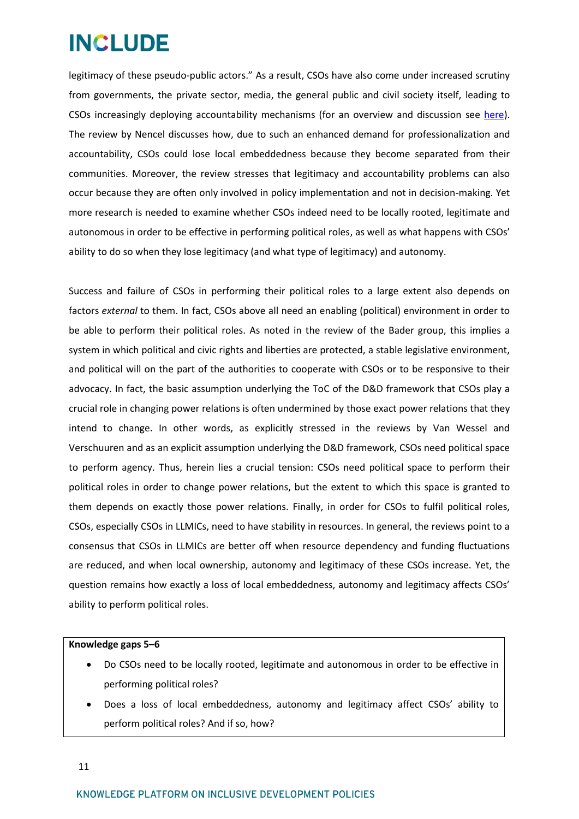legitimacy of these pseudo-public actors." As a result, CSOs have also come under increased scrutiny from governments, the private sector, media, the general public and civil society itself, leading to CSOs increasingly deploying accountability mechanisms (for an overview and discussion see [here\)](https://www.civicus.org/images/stories/CIVICUS%20Self-regulation%20Guide%20Eng%202014.pdf). The review by Nencel discusses how, due to such an enhanced demand for professionalization and accountability, CSOs could lose local embeddedness because they become separated from their communities. Moreover, the review stresses that legitimacy and accountability problems can also occur because they are often only involved in policy implementation and not in decision-making. Yet more research is needed to examine whether CSOs indeed need to be locally rooted, legitimate and autonomous in order to be effective in performing political roles, as well as what happens with CSOs' ability to do so when they lose legitimacy (and what type of legitimacy) and autonomy.

Success and failure of CSOs in performing their political roles to a large extent also depends on factors *external* to them. In fact, CSOs above all need an enabling (political) environment in order to be able to perform their political roles. As noted in the review of the Bader group, this implies a system in which political and civic rights and liberties are protected, a stable legislative environment, and political will on the part of the authorities to cooperate with CSOs or to be responsive to their advocacy. In fact, the basic assumption underlying the ToC of the D&D framework that CSOs play a crucial role in changing power relations is often undermined by those exact power relations that they intend to change. In other words, as explicitly stressed in the reviews by Van Wessel and Verschuuren and as an explicit assumption underlying the D&D framework, CSOs need political space to perform agency. Thus, herein lies a crucial tension: CSOs need political space to perform their political roles in order to change power relations, but the extent to which this space is granted to them depends on exactly those power relations. Finally, in order for CSOs to fulfil political roles, CSOs, especially CSOs in LLMICs, need to have stability in resources. In general, the reviews point to a consensus that CSOs in LLMICs are better off when resource dependency and funding fluctuations are reduced, and when local ownership, autonomy and legitimacy of these CSOs increase. Yet, the question remains how exactly a loss of local embeddedness, autonomy and legitimacy affects CSOs' ability to perform political roles.

### **Knowledge gaps 5–6**

- Do CSOs need to be locally rooted, legitimate and autonomous in order to be effective in performing political roles?
- Does a loss of local embeddedness, autonomy and legitimacy affect CSOs' ability to perform political roles? And if so, how?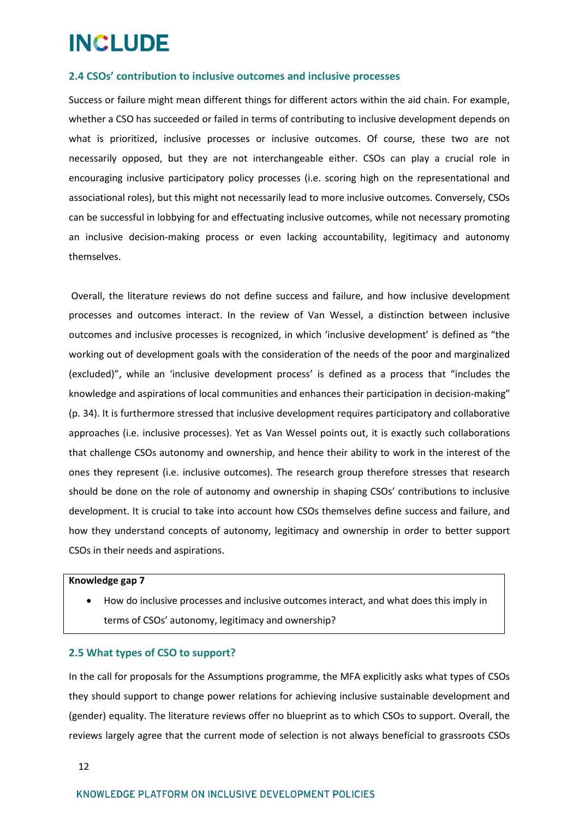### <span id="page-11-0"></span>**2.4 CSOs' contribution to inclusive outcomes and inclusive processes**

Success or failure might mean different things for different actors within the aid chain. For example, whether a CSO has succeeded or failed in terms of contributing to inclusive development depends on what is prioritized, inclusive processes or inclusive outcomes. Of course, these two are not necessarily opposed, but they are not interchangeable either. CSOs can play a crucial role in encouraging inclusive participatory policy processes (i.e. scoring high on the representational and associational roles), but this might not necessarily lead to more inclusive outcomes. Conversely, CSOs can be successful in lobbying for and effectuating inclusive outcomes, while not necessary promoting an inclusive decision-making process or even lacking accountability, legitimacy and autonomy themselves.

Overall, the literature reviews do not define success and failure, and how inclusive development processes and outcomes interact. In the review of Van Wessel, a distinction between inclusive outcomes and inclusive processes is recognized, in which 'inclusive development' is defined as "the working out of development goals with the consideration of the needs of the poor and marginalized (excluded)", while an 'inclusive development process' is defined as a process that "includes the knowledge and aspirations of local communities and enhances their participation in decision-making" (p. 34). It is furthermore stressed that inclusive development requires participatory and collaborative approaches (i.e. inclusive processes). Yet as Van Wessel points out, it is exactly such collaborations that challenge CSOs autonomy and ownership, and hence their ability to work in the interest of the ones they represent (i.e. inclusive outcomes). The research group therefore stresses that research should be done on the role of autonomy and ownership in shaping CSOs' contributions to inclusive development. It is crucial to take into account how CSOs themselves define success and failure, and how they understand concepts of autonomy, legitimacy and ownership in order to better support CSOs in their needs and aspirations.

### **Knowledge gap 7**

 How do inclusive processes and inclusive outcomes interact, and what does this imply in terms of CSOs' autonomy, legitimacy and ownership?

### <span id="page-11-1"></span>**2.5 What types of CSO to support?**

In the call for proposals for the Assumptions programme, the MFA explicitly asks what types of CSOs they should support to change power relations for achieving inclusive sustainable development and (gender) equality. The literature reviews offer no blueprint as to which CSOs to support. Overall, the reviews largely agree that the current mode of selection is not always beneficial to grassroots CSOs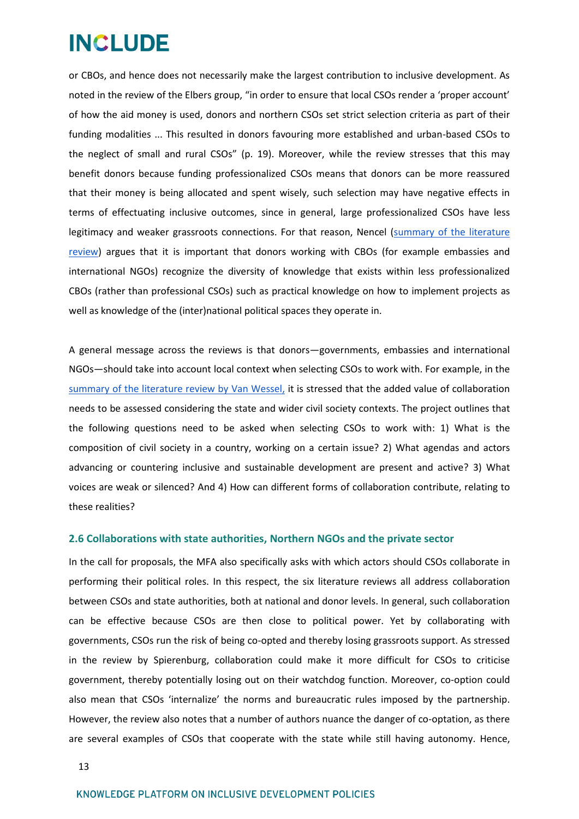or CBOs, and hence does not necessarily make the largest contribution to inclusive development. As noted in the review of the Elbers group, "in order to ensure that local CSOs render a 'proper account' of how the aid money is used, donors and northern CSOs set strict selection criteria as part of their funding modalities ... This resulted in donors favouring more established and urban-based CSOs to the neglect of small and rural CSOs" (p. 19). Moreover, while the review stresses that this may benefit donors because funding professionalized CSOs means that donors can be more reassured that their money is being allocated and spent wisely, such selection may have negative effects in terms of effectuating inclusive outcomes, since in general, large professionalized CSOs have less legitimacy and weaker grassroots connections. For that reason, Nencel [\(summary of the literature](http://includeplatform.net/wp-content/uploads/2018/05/Nencel_twopager_final.pdf)  [review\)](http://includeplatform.net/wp-content/uploads/2018/05/Nencel_twopager_final.pdf) argues that it is important that donors working with CBOs (for example embassies and international NGOs) recognize the diversity of knowledge that exists within less professionalized CBOs (rather than professional CSOs) such as practical knowledge on how to implement projects as well as knowledge of the (inter)national political spaces they operate in.

A general message across the reviews is that donors—governments, embassies and international NGOs—should take into account local context when selecting CSOs to work with. For example, in th[e](http://includeplatform.net/wp-content/uploads/2018/05/VanWessel_twopager_final.pdf) summary of [the literature review by](http://includeplatform.net/wp-content/uploads/2018/05/VanWessel_twopager_final.pdf) Van Wessel, it is stressed that the added value of collaboration needs to be assessed considering the state and wider civil society contexts. The project outlines that the following questions need to be asked when selecting CSOs to work with: 1) What is the composition of civil society in a country, working on a certain issue? 2) What agendas and actors advancing or countering inclusive and sustainable development are present and active? 3) What voices are weak or silenced? And 4) How can different forms of collaboration contribute, relating to these realities?

### <span id="page-12-0"></span>**2.6 Collaborations with state authorities, Northern NGOs and the private sector**

In the call for proposals, the MFA also specifically asks with which actors should CSOs collaborate in performing their political roles. In this respect, the six literature reviews all address collaboration between CSOs and state authorities, both at national and donor levels. In general, such collaboration can be effective because CSOs are then close to political power. Yet by collaborating with governments, CSOs run the risk of being co-opted and thereby losing grassroots support. As stressed in the review by Spierenburg, collaboration could make it more difficult for CSOs to criticise government, thereby potentially losing out on their watchdog function. Moreover, co-option could also mean that CSOs 'internalize' the norms and bureaucratic rules imposed by the partnership. However, the review also notes that a number of authors nuance the danger of co-optation, as there are several examples of CSOs that cooperate with the state while still having autonomy. Hence,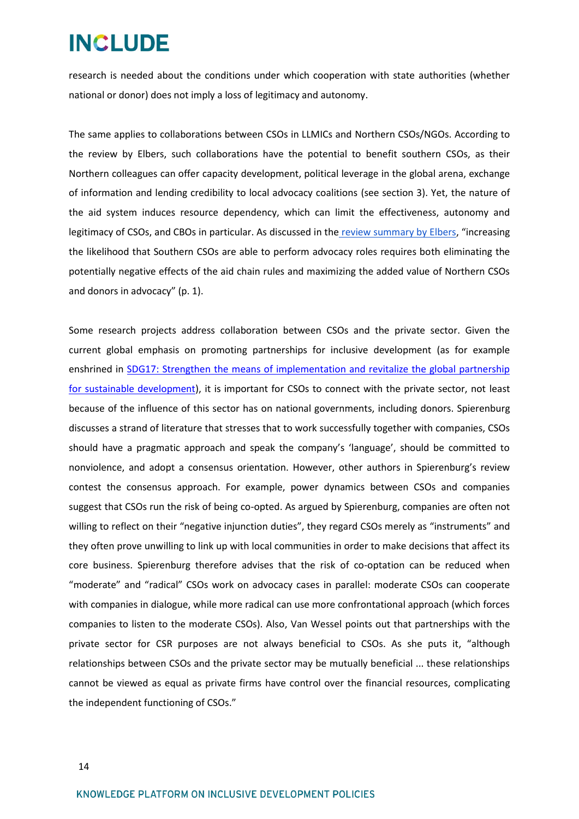research is needed about the conditions under which cooperation with state authorities (whether national or donor) does not imply a loss of legitimacy and autonomy.

The same applies to collaborations between CSOs in LLMICs and Northern CSOs/NGOs. According to the review by Elbers, such collaborations have the potential to benefit southern CSOs, as their Northern colleagues can offer capacity development, political leverage in the global arena, exchange of information and lending credibility to local advocacy coalitions (see section 3). Yet, the nature of the aid system induces resource dependency, which can limit the effectiveness, autonomy and legitimacy of CSOs, and CBOs in particular. As discussed in the [review summary by Elbers,](http://includeplatform.net/wp-content/uploads/2018/05/Elbers_twopager_final.pdf) "increasing the likelihood that Southern CSOs are able to perform advocacy roles requires both eliminating the potentially negative effects of the aid chain rules and maximizing the added value of Northern CSOs and donors in advocacy" (p. 1).

Some research projects address collaboration between CSOs and the private sector. Given the current global emphasis on promoting partnerships for inclusive development (as for example enshrined in [SDG17: Strengthen the means of implementation and revitalize the global partnership](https://sustainabledevelopment.un.org/sdg17)  [for sustainable development\)](https://sustainabledevelopment.un.org/sdg17), it is important for CSOs to connect with the private sector, not least because of the influence of this sector has on national governments, including donors. Spierenburg discusses a strand of literature that stresses that to work successfully together with companies, CSOs should have a pragmatic approach and speak the company's 'language', should be committed to nonviolence, and adopt a consensus orientation. However, other authors in Spierenburg's review contest the consensus approach. For example, power dynamics between CSOs and companies suggest that CSOs run the risk of being co-opted. As argued by Spierenburg, companies are often not willing to reflect on their "negative injunction duties", they regard CSOs merely as "instruments" and they often prove unwilling to link up with local communities in order to make decisions that affect its core business. Spierenburg therefore advises that the risk of co-optation can be reduced when "moderate" and "radical" CSOs work on advocacy cases in parallel: moderate CSOs can cooperate with companies in dialogue, while more radical can use more confrontational approach (which forces companies to listen to the moderate CSOs). Also, Van Wessel points out that partnerships with the private sector for CSR purposes are not always beneficial to CSOs. As she puts it, "although relationships between CSOs and the private sector may be mutually beneficial ... these relationships cannot be viewed as equal as private firms have control over the financial resources, complicating the independent functioning of CSOs."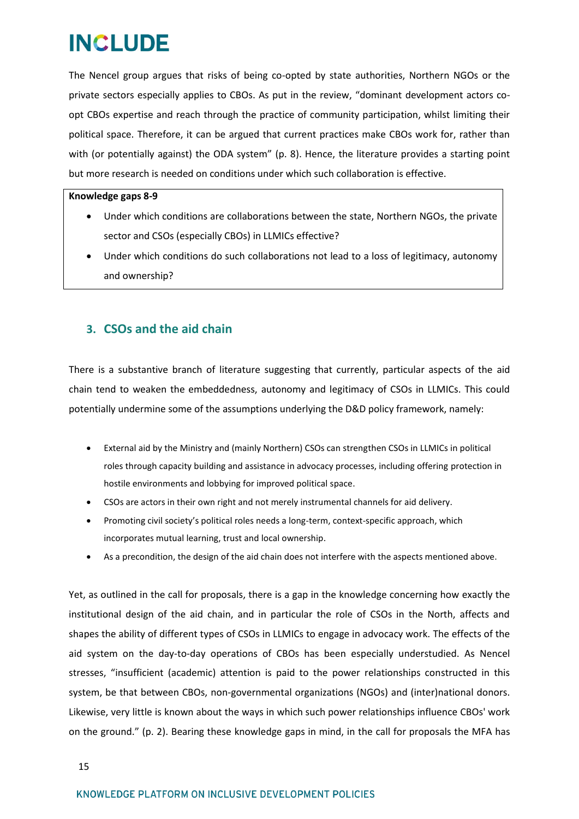The Nencel group argues that risks of being co-opted by state authorities, Northern NGOs or the private sectors especially applies to CBOs. As put in the review, "dominant development actors coopt CBOs expertise and reach through the practice of community participation, whilst limiting their political space. Therefore, it can be argued that current practices make CBOs work for, rather than with (or potentially against) the ODA system" (p. 8). Hence, the literature provides a starting point but more research is needed on conditions under which such collaboration is effective.

### **Knowledge gaps 8-9**

- Under which conditions are collaborations between the state, Northern NGOs, the private sector and CSOs (especially CBOs) in LLMICs effective?
- Under which conditions do such collaborations not lead to a loss of legitimacy, autonomy and ownership?

## <span id="page-14-0"></span>**3. CSOs and the aid chain**

There is a substantive branch of literature suggesting that currently, particular aspects of the aid chain tend to weaken the embeddedness, autonomy and legitimacy of CSOs in LLMICs. This could potentially undermine some of the assumptions underlying the D&D policy framework, namely:

- External aid by the Ministry and (mainly Northern) CSOs can strengthen CSOs in LLMICs in political roles through capacity building and assistance in advocacy processes, including offering protection in hostile environments and lobbying for improved political space.
- CSOs are actors in their own right and not merely instrumental channels for aid delivery.
- Promoting civil society's political roles needs a long-term, context-specific approach, which incorporates mutual learning, trust and local ownership.
- As a precondition, the design of the aid chain does not interfere with the aspects mentioned above.

Yet, as outlined in the call for proposals, there is a gap in the knowledge concerning how exactly the institutional design of the aid chain, and in particular the role of CSOs in the North, affects and shapes the ability of different types of CSOs in LLMICs to engage in advocacy work. The effects of the aid system on the day-to-day operations of CBOs has been especially understudied. As Nencel stresses, "insufficient (academic) attention is paid to the power relationships constructed in this system, be that between CBOs, non-governmental organizations (NGOs) and (inter)national donors. Likewise, very little is known about the ways in which such power relationships influence CBOs' work on the ground." (p. 2). Bearing these knowledge gaps in mind, in the call for proposals the MFA has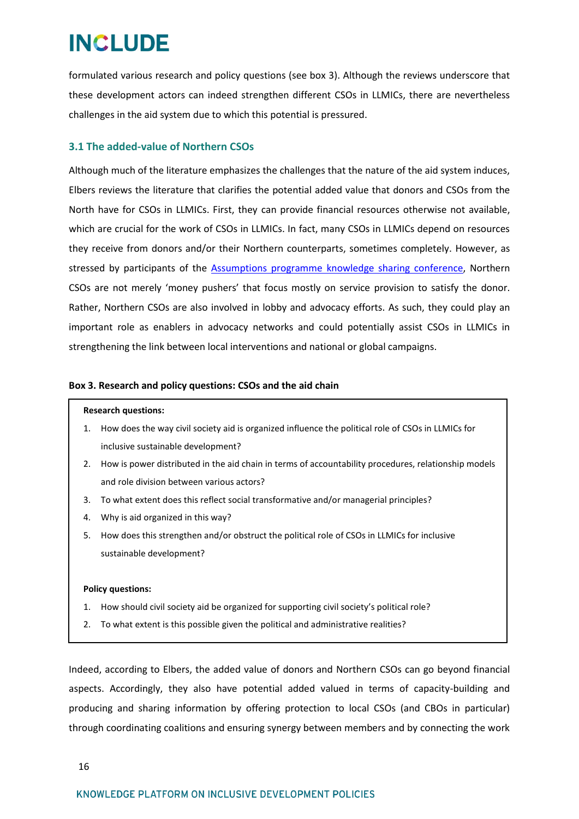formulated various research and policy questions (see box 3). Although the reviews underscore that these development actors can indeed strengthen different CSOs in LLMICs, there are nevertheless challenges in the aid system due to which this potential is pressured.

## <span id="page-15-0"></span>**3.1 The added-value of Northern CSOs**

Although much of the literature emphasizes the challenges that the nature of the aid system induces, Elbers reviews the literature that clarifies the potential added value that donors and CSOs from the North have for CSOs in LLMICs. First, they can provide financial resources otherwise not available, which are crucial for the work of CSOs in LLMICs. In fact, many CSOs in LLMICs depend on resources they receive from donors and/or their Northern counterparts, sometimes completely. However, as stressed by participants of the [Assumptions programme knowledge sharing conference,](http://www.includeplatform.net/report-new-roles-csos-inclusive-development-knowledge-sharing-conference-results-literature-review/) Northern CSOs are not merely 'money pushers' that focus mostly on service provision to satisfy the donor. Rather, Northern CSOs are also involved in lobby and advocacy efforts. As such, they could play an important role as enablers in advocacy networks and could potentially assist CSOs in LLMICs in strengthening the link between local interventions and national or global campaigns.

### **Box 3. Research and policy questions: CSOs and the aid chain**

#### **Research questions:**

- 1. How does the way civil society aid is organized influence the political role of CSOs in LLMICs for inclusive sustainable development?
- 2. How is power distributed in the aid chain in terms of accountability procedures, relationship models and role division between various actors?
- 3. To what extent does this reflect social transformative and/or managerial principles?
- 4. Why is aid organized in this way?
- 5. How does this strengthen and/or obstruct the political role of CSOs in LLMICs for inclusive sustainable development?

### **Policy questions:**

- 1. How should civil society aid be organized for supporting civil society's political role?
- 2. To what extent is this possible given the political and administrative realities?

Indeed, according to Elbers, the added value of donors and Northern CSOs can go beyond financial aspects. Accordingly, they also have potential added valued in terms of capacity-building and producing and sharing information by offering protection to local CSOs (and CBOs in particular) through coordinating coalitions and ensuring synergy between members and by connecting the work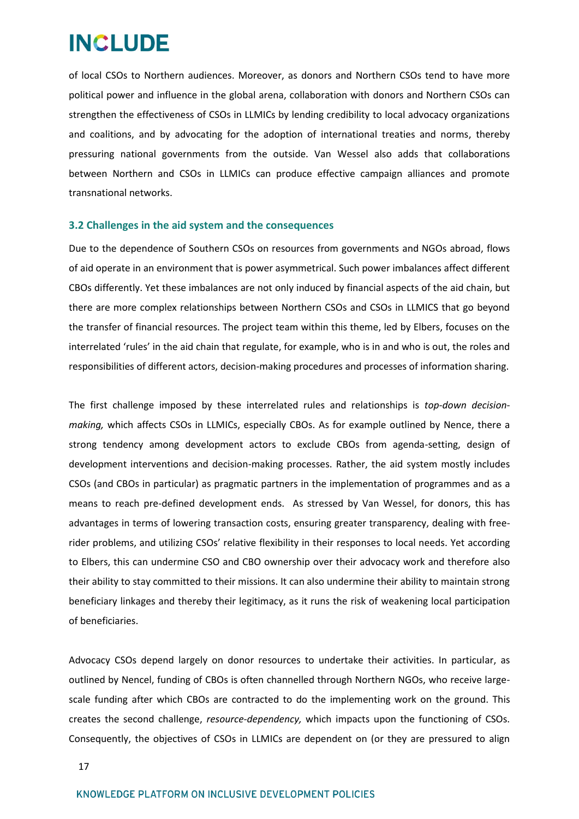of local CSOs to Northern audiences. Moreover, as donors and Northern CSOs tend to have more political power and influence in the global arena, collaboration with donors and Northern CSOs can strengthen the effectiveness of CSOs in LLMICs by lending credibility to local advocacy organizations and coalitions, and by advocating for the adoption of international treaties and norms, thereby pressuring national governments from the outside. Van Wessel also adds that collaborations between Northern and CSOs in LLMICs can produce effective campaign alliances and promote transnational networks.

### <span id="page-16-0"></span>**3.2 Challenges in the aid system and the consequences**

Due to the dependence of Southern CSOs on resources from governments and NGOs abroad, flows of aid operate in an environment that is power asymmetrical. Such power imbalances affect different CBOs differently. Yet these imbalances are not only induced by financial aspects of the aid chain, but there are more complex relationships between Northern CSOs and CSOs in LLMICS that go beyond the transfer of financial resources. The project team within this theme, led by Elbers, focuses on the interrelated 'rules' in the aid chain that regulate, for example, who is in and who is out, the roles and responsibilities of different actors, decision-making procedures and processes of information sharing.

The first challenge imposed by these interrelated rules and relationships is *top-down decisionmaking,* which affects CSOs in LLMICs, especially CBOs. As for example outlined by Nence, there a strong tendency among development actors to exclude CBOs from agenda-setting, design of development interventions and decision-making processes. Rather, the aid system mostly includes CSOs (and CBOs in particular) as pragmatic partners in the implementation of programmes and as a means to reach pre-defined development ends. As stressed by Van Wessel, for donors, this has advantages in terms of lowering transaction costs, ensuring greater transparency, dealing with freerider problems, and utilizing CSOs' relative flexibility in their responses to local needs. Yet according to Elbers, this can undermine CSO and CBO ownership over their advocacy work and therefore also their ability to stay committed to their missions. It can also undermine their ability to maintain strong beneficiary linkages and thereby their legitimacy, as it runs the risk of weakening local participation of beneficiaries.

Advocacy CSOs depend largely on donor resources to undertake their activities. In particular, as outlined by Nencel, funding of CBOs is often channelled through Northern NGOs, who receive largescale funding after which CBOs are contracted to do the implementing work on the ground. This creates the second challenge, *resource-dependency,* which impacts upon the functioning of CSOs. Consequently, the objectives of CSOs in LLMICs are dependent on (or they are pressured to align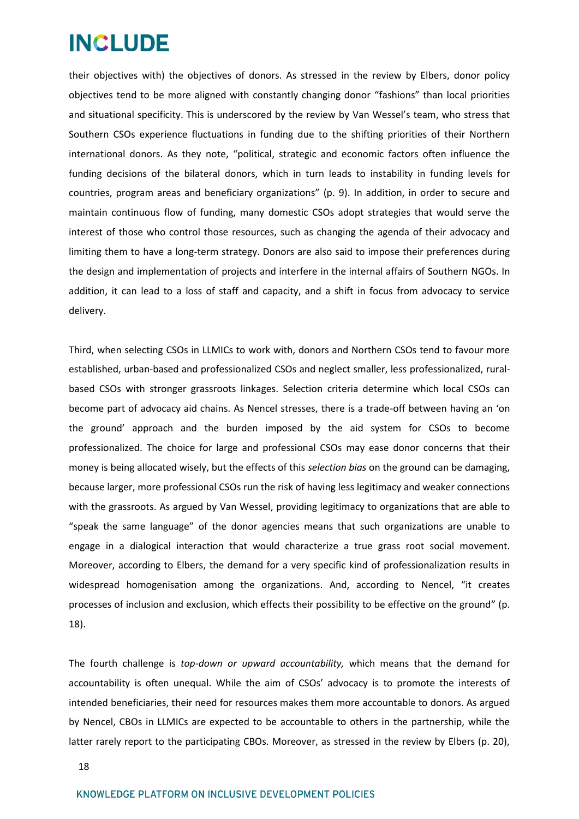their objectives with) the objectives of donors. As stressed in the review by Elbers, donor policy objectives tend to be more aligned with constantly changing donor "fashions" than local priorities and situational specificity. This is underscored by the review by Van Wessel's team, who stress that Southern CSOs experience fluctuations in funding due to the shifting priorities of their Northern international donors. As they note, "political, strategic and economic factors often influence the funding decisions of the bilateral donors, which in turn leads to instability in funding levels for countries, program areas and beneficiary organizations" (p. 9). In addition, in order to secure and maintain continuous flow of funding, many domestic CSOs adopt strategies that would serve the interest of those who control those resources, such as changing the agenda of their advocacy and limiting them to have a long-term strategy. Donors are also said to impose their preferences during the design and implementation of projects and interfere in the internal affairs of Southern NGOs. In addition, it can lead to a loss of staff and capacity, and a shift in focus from advocacy to service delivery.

Third, when selecting CSOs in LLMICs to work with, donors and Northern CSOs tend to favour more established, urban-based and professionalized CSOs and neglect smaller, less professionalized, ruralbased CSOs with stronger grassroots linkages. Selection criteria determine which local CSOs can become part of advocacy aid chains. As Nencel stresses, there is a trade-off between having an 'on the ground' approach and the burden imposed by the aid system for CSOs to become professionalized. The choice for large and professional CSOs may ease donor concerns that their money is being allocated wisely, but the effects of this *selection bias* on the ground can be damaging, because larger, more professional CSOs run the risk of having less legitimacy and weaker connections with the grassroots. As argued by Van Wessel, providing legitimacy to organizations that are able to "speak the same language" of the donor agencies means that such organizations are unable to engage in a dialogical interaction that would characterize a true grass root social movement. Moreover, according to Elbers, the demand for a very specific kind of professionalization results in widespread homogenisation among the organizations. And, according to Nencel, "it creates processes of inclusion and exclusion, which effects their possibility to be effective on the ground" (p. 18).

The fourth challenge is *top-down or upward accountability,* which means that the demand for accountability is often unequal. While the aim of CSOs' advocacy is to promote the interests of intended beneficiaries, their need for resources makes them more accountable to donors. As argued by Nencel, CBOs in LLMICs are expected to be accountable to others in the partnership, while the latter rarely report to the participating CBOs. Moreover, as stressed in the review by Elbers (p. 20),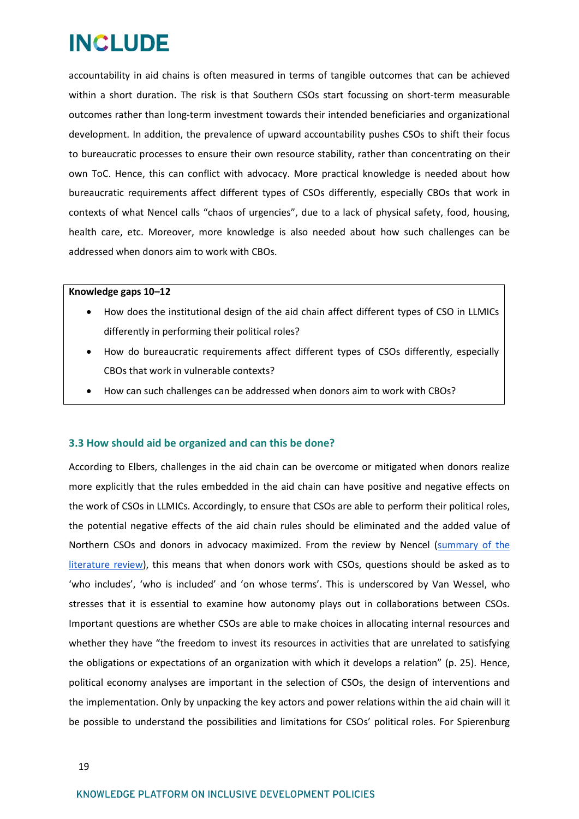accountability in aid chains is often measured in terms of tangible outcomes that can be achieved within a short duration. The risk is that Southern CSOs start focussing on short-term measurable outcomes rather than long-term investment towards their intended beneficiaries and organizational development. In addition, the prevalence of upward accountability pushes CSOs to shift their focus to bureaucratic processes to ensure their own resource stability, rather than concentrating on their own ToC. Hence, this can conflict with advocacy. More practical knowledge is needed about how bureaucratic requirements affect different types of CSOs differently, especially CBOs that work in contexts of what Nencel calls "chaos of urgencies", due to a lack of physical safety, food, housing, health care, etc. Moreover, more knowledge is also needed about how such challenges can be addressed when donors aim to work with CBOs.

### **Knowledge gaps 10–12**

- How does the institutional design of the aid chain affect different types of CSO in LLMICs differently in performing their political roles?
- How do bureaucratic requirements affect different types of CSOs differently, especially CBOs that work in vulnerable contexts?
- How can such challenges can be addressed when donors aim to work with CBOs?

### <span id="page-18-0"></span>**3.3 How should aid be organized and can this be done?**

According to Elbers, challenges in the aid chain can be overcome or mitigated when donors realize more explicitly that the rules embedded in the aid chain can have positive and negative effects on the work of CSOs in LLMICs. Accordingly, to ensure that CSOs are able to perform their political roles, the potential negative effects of the aid chain rules should be eliminated and the added value of Northern CSOs and donors in advocacy maximized. From the review by Nencel [\(summary of the](http://includeplatform.net/downloads/summary-literature-review-cbos-within-official-development-aid-system-kenya/)  [literature review\)](http://includeplatform.net/downloads/summary-literature-review-cbos-within-official-development-aid-system-kenya/), this means that when donors work with CSOs, questions should be asked as to 'who includes', 'who is included' and 'on whose terms'. This is underscored by Van Wessel, who stresses that it is essential to examine how autonomy plays out in collaborations between CSOs. Important questions are whether CSOs are able to make choices in allocating internal resources and whether they have "the freedom to invest its resources in activities that are unrelated to satisfying the obligations or expectations of an organization with which it develops a relation" (p. 25). Hence, political economy analyses are important in the selection of CSOs, the design of interventions and the implementation. Only by unpacking the key actors and power relations within the aid chain will it be possible to understand the possibilities and limitations for CSOs' political roles. For Spierenburg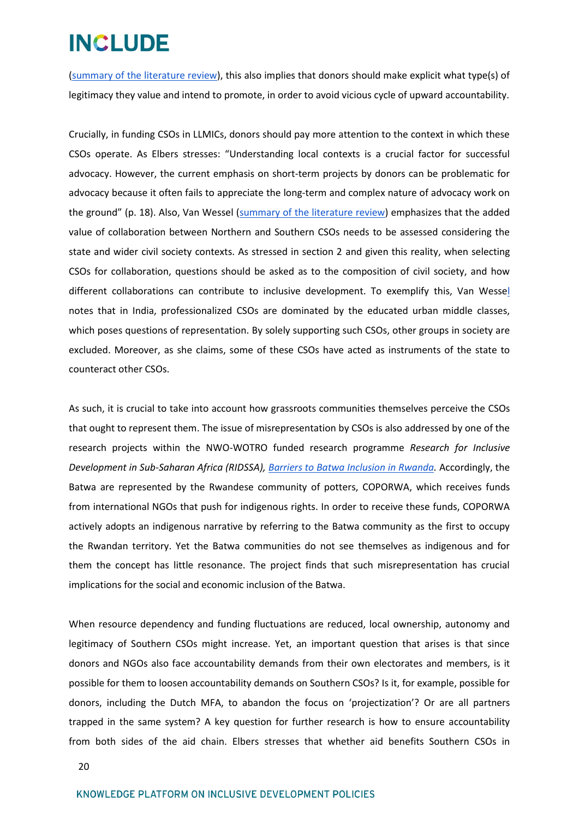[\(summary of the literature review\)](http://includeplatform.net/wp-content/uploads/2018/05/Twopager_Spierenburg_final.pdf), this also implies that donors should make explicit what type(s) of legitimacy they value and intend to promote, in order to avoid vicious cycle of upward accountability.

Crucially, in funding CSOs in LLMICs, donors should pay more attention to the context in which these CSOs operate. As Elbers stresses: "Understanding local contexts is a crucial factor for successful advocacy. However, the current emphasis on short-term projects by donors can be problematic for advocacy because it often fails to appreciate the long-term and complex nature of advocacy work on the ground" (p. 18). Also, Van Wessel [\(summary of the literature review\)](http://includeplatform.net/wp-content/uploads/2018/05/VanWessel_twopager_final.pdf) emphasizes that the added value of collaboration between Northern and Southern CSOs needs to be assessed considering the state and wider civil society contexts. As stressed in section 2 and given this reality, when selecting CSOs for collaboration, questions should be asked as to the composition of civil society, and how different collaborations can contribute to inclusive development. To exemplify this, Van Wessel notes that in India, professionalized CSOs are dominated by the educated urban middle classes, which poses questions of representation. By solely supporting such CSOs, other groups in society are excluded. Moreover, as she claims, some of these CSOs have acted as instruments of the state to counteract other CSOs.

As such, it is crucial to take into account how grassroots communities themselves perceive the CSOs that ought to represent them. The issue of misrepresentation by CSOs is also addressed by one of the research projects within the NWO-WOTRO funded research programme *Research for Inclusive Development in Sub-Saharan Africa (RIDSSA), [Barriers to Batwa Inclusion in Rwanda.](http://includeplatform.net/research-group/investigating-structural-barriers-to-batwa-inclusion-in-development/)* Accordingly, the Batwa are represented by the Rwandese community of potters, COPORWA, which receives funds from international NGOs that push for indigenous rights. In order to receive these funds, COPORWA actively adopts an indigenous narrative by referring to the Batwa community as the first to occupy the Rwandan territory. Yet the Batwa communities do not see themselves as indigenous and for them the concept has little resonance. The project finds that such misrepresentation has crucial implications for the social and economic inclusion of the Batwa.

When resource dependency and funding fluctuations are reduced, local ownership, autonomy and legitimacy of Southern CSOs might increase. Yet, an important question that arises is that since donors and NGOs also face accountability demands from their own electorates and members, is it possible for them to loosen accountability demands on Southern CSOs? Is it, for example, possible for donors, including the Dutch MFA, to abandon the focus on 'projectization'? Or are all partners trapped in the same system? A key question for further research is how to ensure accountability from both sides of the aid chain. Elbers stresses that whether aid benefits Southern CSOs in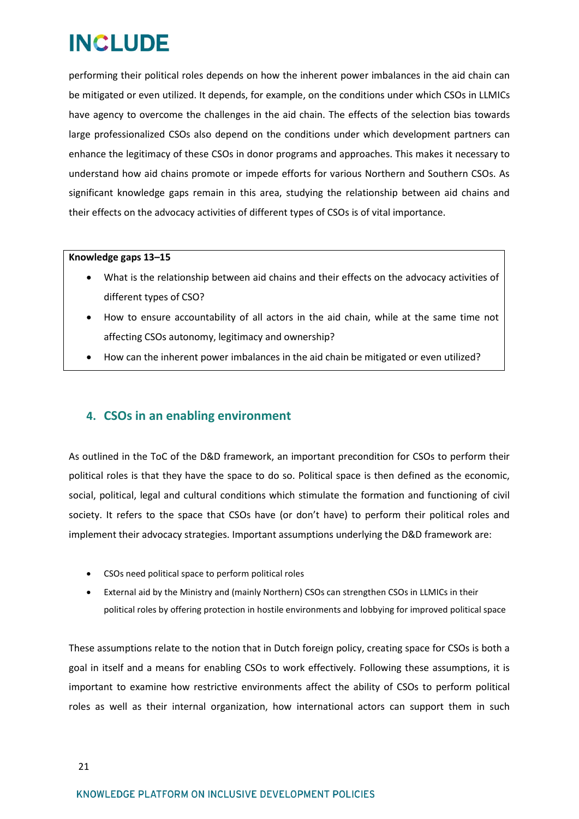performing their political roles depends on how the inherent power imbalances in the aid chain can be mitigated or even utilized. It depends, for example, on the conditions under which CSOs in LLMICs have agency to overcome the challenges in the aid chain. The effects of the selection bias towards large professionalized CSOs also depend on the conditions under which development partners can enhance the legitimacy of these CSOs in donor programs and approaches. This makes it necessary to understand how aid chains promote or impede efforts for various Northern and Southern CSOs. As significant knowledge gaps remain in this area, studying the relationship between aid chains and their effects on the advocacy activities of different types of CSOs is of vital importance.

### **Knowledge gaps 13–15**

- What is the relationship between aid chains and their effects on the advocacy activities of different types of CSO?
- How to ensure accountability of all actors in the aid chain, while at the same time not affecting CSOs autonomy, legitimacy and ownership?
- How can the inherent power imbalances in the aid chain be mitigated or even utilized?

## <span id="page-20-0"></span>**4. CSOs in an enabling environment**

As outlined in the ToC of the D&D framework, an important precondition for CSOs to perform their political roles is that they have the space to do so. Political space is then defined as the economic, social, political, legal and cultural conditions which stimulate the formation and functioning of civil society. It refers to the space that CSOs have (or don't have) to perform their political roles and implement their advocacy strategies. Important assumptions underlying the D&D framework are:

- CSOs need political space to perform political roles
- External aid by the Ministry and (mainly Northern) CSOs can strengthen CSOs in LLMICs in their political roles by offering protection in hostile environments and lobbying for improved political space

These assumptions relate to the notion that in Dutch foreign policy, creating space for CSOs is both a goal in itself and a means for enabling CSOs to work effectively. Following these assumptions, it is important to examine how restrictive environments affect the ability of CSOs to perform political roles as well as their internal organization, how international actors can support them in such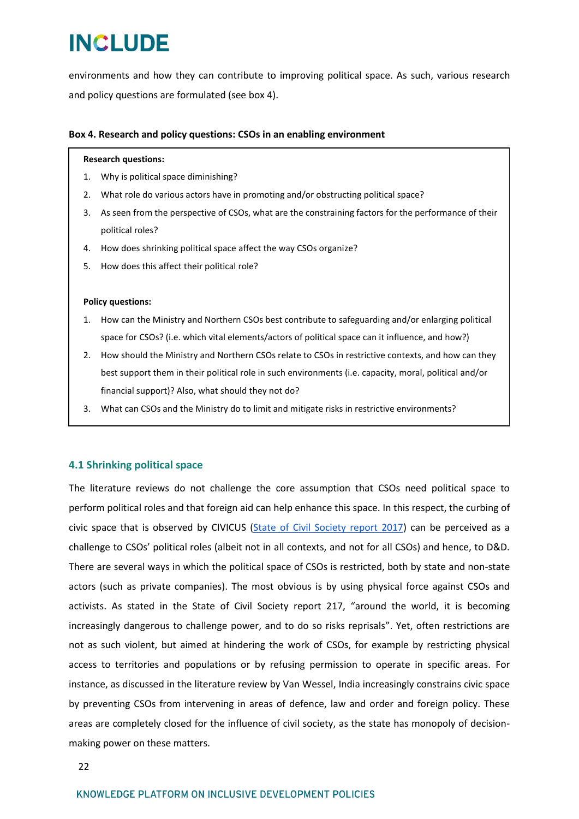environments and how they can contribute to improving political space. As such, various research and policy questions are formulated (see box 4).

### **Box 4. Research and policy questions: CSOs in an enabling environment**

#### **Research questions:**

- 1. Why is political space diminishing?
- 2. What role do various actors have in promoting and/or obstructing political space?
- 3. As seen from the perspective of CSOs, what are the constraining factors for the performance of their political roles?
- 4. How does shrinking political space affect the way CSOs organize?
- 5. How does this affect their political role?

### **Policy questions:**

- 1. How can the Ministry and Northern CSOs best contribute to safeguarding and/or enlarging political space for CSOs? (i.e. which vital elements/actors of political space can it influence, and how?)
- 2. How should the Ministry and Northern CSOs relate to CSOs in restrictive contexts, and how can they best support them in their political role in such environments (i.e. capacity, moral, political and/or financial support)? Also, what should they not do?
- 3. What can CSOs and the Ministry do to limit and mitigate risks in restrictive environments?

## <span id="page-21-0"></span>**4.1 Shrinking political space**

The literature reviews do not challenge the core assumption that CSOs need political space to perform political roles and that foreign aid can help enhance this space. In this respect, the curbing of civic space that is observed by CIVICUS [\(State of Civil Society report 2017\)](https://www.civicus.org/index.php/state-of-civil-society-report-2017) can be perceived as a challenge to CSOs' political roles (albeit not in all contexts, and not for all CSOs) and hence, to D&D. There are several ways in which the political space of CSOs is restricted, both by state and non-state actors (such as private companies). The most obvious is by using physical force against CSOs and activists. As stated in the State of Civil Society report 217, "around the world, it is becoming increasingly dangerous to challenge power, and to do so risks reprisals". Yet, often restrictions are not as such violent, but aimed at hindering the work of CSOs, for example by restricting physical access to territories and populations or by refusing permission to operate in specific areas. For instance, as discussed in the literature review by Van Wessel, India increasingly constrains civic space by preventing CSOs from intervening in areas of defence, law and order and foreign policy. These areas are completely closed for the influence of civil society, as the state has monopoly of decisionmaking power on these matters.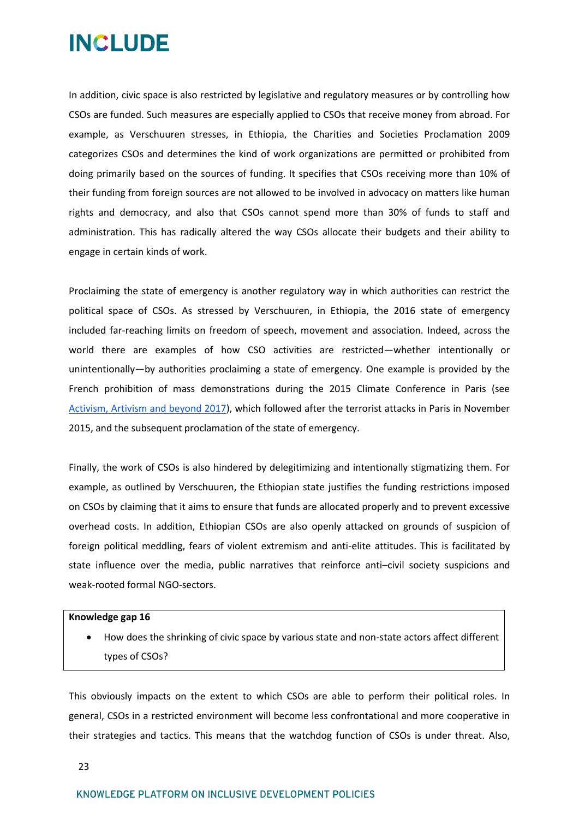In addition, civic space is also restricted by legislative and regulatory measures or by controlling how CSOs are funded. Such measures are especially applied to CSOs that receive money from abroad. For example, as Verschuuren stresses, in Ethiopia, the Charities and Societies Proclamation 2009 categorizes CSOs and determines the kind of work organizations are permitted or prohibited from doing primarily based on the sources of funding. It specifies that CSOs receiving more than 10% of their funding from foreign sources are not allowed to be involved in advocacy on matters like human rights and democracy, and also that CSOs cannot spend more than 30% of funds to staff and administration. This has radically altered the way CSOs allocate their budgets and their ability to engage in certain kinds of work.

Proclaiming the state of emergency is another regulatory way in which authorities can restrict the political space of CSOs. As stressed by Verschuuren, in Ethiopia, the 2016 state of emergency included far-reaching limits on freedom of speech, movement and association. Indeed, across the world there are examples of how CSO activities are restricted—whether intentionally or unintentionally—by authorities proclaiming a state of emergency. One example is provided by the French prohibition of mass demonstrations during the 2015 Climate Conference in Paris (see Activism, Artivism and beyond 2017), which followed after the terrorist attacks in Paris in November 2015, and the subsequent proclamation of the state of emergency.

Finally, the work of CSOs is also hindered by delegitimizing and intentionally stigmatizing them. For example, as outlined by Verschuuren, the Ethiopian state justifies the funding restrictions imposed on CSOs by claiming that it aims to ensure that funds are allocated properly and to prevent excessive overhead costs. In addition, Ethiopian CSOs are also openly attacked on grounds of suspicion of foreign political meddling, fears of violent extremism and anti-elite attitudes. This is facilitated by state influence over the media, public narratives that reinforce anti–civil society suspicions and weak-rooted formal NGO-sectors.

### **Knowledge gap 16**

 How does the shrinking of civic space by various state and non-state actors affect different types of CSOs?

This obviously impacts on the extent to which CSOs are able to perform their political roles. In general, CSOs in a restricted environment will become less confrontational and more cooperative in their strategies and tactics. This means that the watchdog function of CSOs is under threat. Also,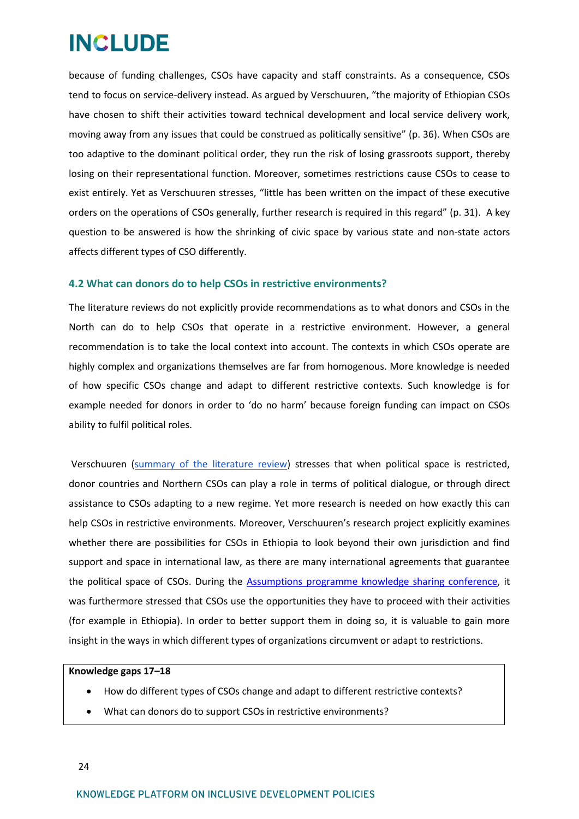because of funding challenges, CSOs have capacity and staff constraints. As a consequence, CSOs tend to focus on service-delivery instead. As argued by Verschuuren, "the majority of Ethiopian CSOs have chosen to shift their activities toward technical development and local service delivery work, moving away from any issues that could be construed as politically sensitive" (p. 36). When CSOs are too adaptive to the dominant political order, they run the risk of losing grassroots support, thereby losing on their representational function. Moreover, sometimes restrictions cause CSOs to cease to exist entirely. Yet as Verschuuren stresses, "little has been written on the impact of these executive orders on the operations of CSOs generally, further research is required in this regard" (p. 31). A key question to be answered is how the shrinking of civic space by various state and non-state actors affects different types of CSO differently.

### <span id="page-23-0"></span>**4.2 What can donors do to help CSOs in restrictive environments?**

The literature reviews do not explicitly provide recommendations as to what donors and CSOs in the North can do to help CSOs that operate in a restrictive environment. However, a general recommendation is to take the local context into account. The contexts in which CSOs operate are highly complex and organizations themselves are far from homogenous. More knowledge is needed of how specific CSOs change and adapt to different restrictive contexts. Such knowledge is for example needed for donors in order to 'do no harm' because foreign funding can impact on CSOs ability to fulfil political roles.

Verschuuren [\(summary of the literature review\)](http://includeplatform.net/wp-content/uploads/2018/05/Finaltwopager_Verschuuren.pdf) stresses that when political space is restricted, donor countries and Northern CSOs can play a role in terms of political dialogue, or through direct assistance to CSOs adapting to a new regime. Yet more research is needed on how exactly this can help CSOs in restrictive environments. Moreover, Verschuuren's research project explicitly examines whether there are possibilities for CSOs in Ethiopia to look beyond their own jurisdiction and find support and space in international law, as there are many international agreements that guarantee the political space of CSOs. During the [Assumptions programme knowledge sharing conference,](http://www.includeplatform.net/report-new-roles-csos-inclusive-development-knowledge-sharing-conference-results-literature-review/) it was furthermore stressed that CSOs use the opportunities they have to proceed with their activities (for example in Ethiopia). In order to better support them in doing so, it is valuable to gain more insight in the ways in which different types of organizations circumvent or adapt to restrictions.

### **Knowledge gaps 17–18**

- How do different types of CSOs change and adapt to different restrictive contexts?
- What can donors do to support CSOs in restrictive environments?